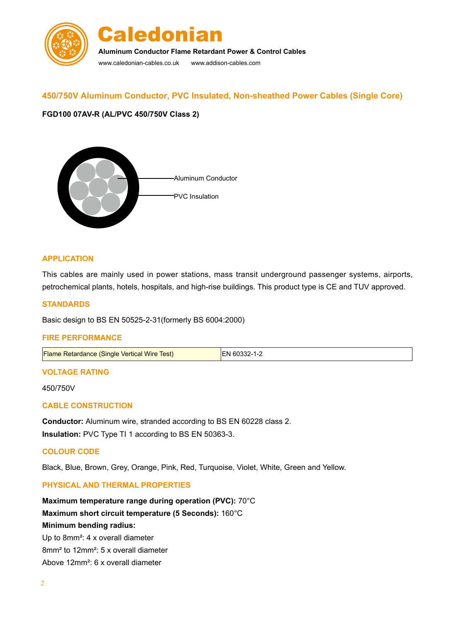

# **450/750V Aluminum Conductor, PVC Insulated, Non-sheathed Power Cables (Single Core)**

## **FGD100 07AV-R (AL/PVC 450/750V Class 2)**



#### **APPLICATION**

This cables are mainly used in power stations, mass transit underground passenger systems, airports, petrochemical plants, hotels, hospitals, and high-rise buildings. This product type is CE and TUV approved.

#### **STANDARDS**

Basic design to BS EN 50525-2-31(formerly BS 6004:2000)

#### **FIRE PERFORMANCE**

Flame Retardance (Single Vertical Wire Test) EN 60332-1-2

#### **VOLTAGE RATING**

450/750V

## **CABLE CONSTRUCTION**

**Conductor:** Aluminum wire, stranded according to BS EN 60228 class 2. **Insulation:** PVC Type TI 1 according to BS EN 50363-3.

#### **COLOUR CODE**

Black, Blue, Brown, Grey, Orange, Pink, Red, Turquoise, Violet, White, Green and Yellow.

#### **Physical AND THERMAL PROPERTIES**

**Maximum temperature range during operation (PVC):** 70°C **Maximum short circuit temperature (5 Seconds):** 160°C **Minimum bending radius:**  Up to 8mm²: 4 x overall diameter

8mm² to 12mm²: 5 x overall diameter

Above 12mm²: 6 x overall diameter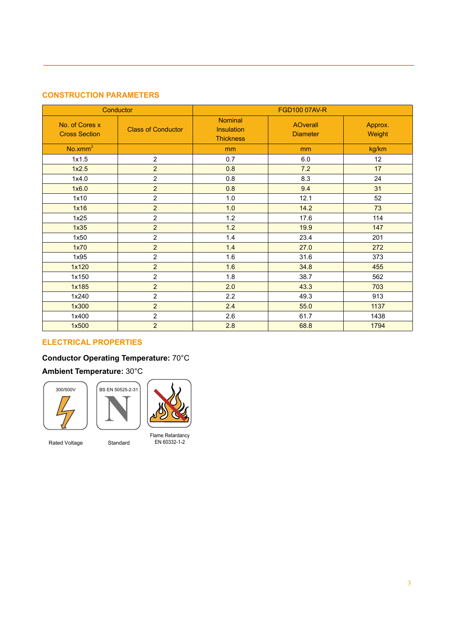# **CONSTRUCTION PARAMETERS**

| Conductor                              |                           | <b>FGD100 07AV-R</b>                      |                                    |                   |  |
|----------------------------------------|---------------------------|-------------------------------------------|------------------------------------|-------------------|--|
| No. of Cores x<br><b>Cross Section</b> | <b>Class of Conductor</b> | Nominal<br>Insulation<br><b>Thickness</b> | <b>AOverall</b><br><b>Diameter</b> | Approx.<br>Weight |  |
| No.xmm <sup>2</sup>                    |                           | mm                                        | mm                                 | kg/km             |  |
| 1x1.5                                  | $\overline{2}$            | 0.7                                       | 6.0                                | 12                |  |
| 1x2.5                                  | $\overline{2}$            | 0.8                                       | 7.2                                | 17                |  |
| 1x4.0                                  | $\overline{c}$            | 0.8                                       | 8.3                                | 24                |  |
| 1x6.0                                  | $\overline{2}$            | 0.8                                       | 9.4                                | 31                |  |
| 1x10                                   | $\overline{2}$            | 1.0                                       | 12.1                               | 52                |  |
| 1x16                                   | $\overline{2}$            | 1.0                                       | 14.2                               | 73                |  |
| 1x25                                   | $\overline{2}$            | 1.2                                       | 17.6                               | 114               |  |
| 1x35                                   | $\overline{2}$            | 1.2                                       | 19.9                               | 147               |  |
| 1x50                                   | $\overline{2}$            | 1.4                                       | 23.4                               | 201               |  |
| 1x70                                   | $\overline{2}$            | 1.4                                       | 27.0                               | 272               |  |
| 1x95                                   | $\overline{2}$            | 1.6                                       | 31.6                               | 373               |  |
| 1x120                                  | $\overline{2}$            | 1.6                                       | 34.8                               | 455               |  |
| 1x150                                  | $\overline{2}$            | 1.8                                       | 38.7                               | 562               |  |
| 1x185                                  | $\overline{2}$            | 2.0                                       | 43.3                               | 703               |  |
| 1x240                                  | $\overline{c}$            | 2.2                                       | 49.3                               | 913               |  |
| 1x300                                  | $\overline{2}$            | 2.4                                       | 55.0                               | 1137              |  |
| 1x400                                  | $\overline{2}$            | 2.6                                       | 61.7                               | 1438              |  |
| 1x500                                  | $\overline{2}$            | 2.8                                       | 68.8                               | 1794              |  |

# **Electrical PROPERTIES**

# **Conductor Operating Temperature:** 70°C

# **Ambient Temperature:** 30°C





Rated Voltage **Standard** 



Flame Retardancy EN 60332-1-2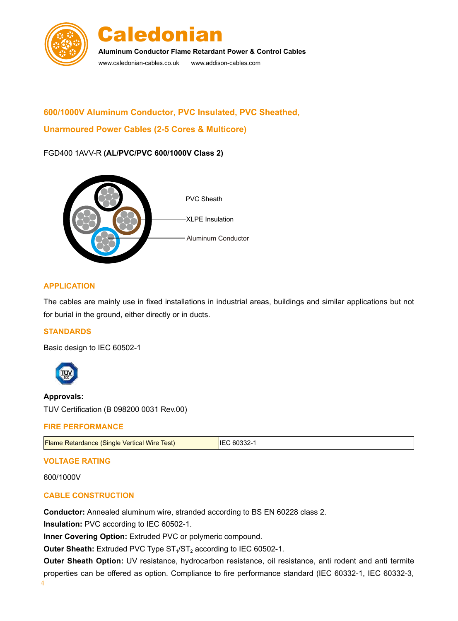



**Aluminum Conductor Flame Retardant Power & Control Cables**

www.caledonian-cables.co.uk www.addison-cables.com

# **600/1000V Aluminum Conductor, PVC Insulated, PVC Sheathed, Unarmoured Power Cables (2-5 Cores & Multicore)**

# FGD400 1AVV-R **(AL/PVC/PVC 600/1000V Class 2)**



## **APPLICATION**

The cables are mainly use in fixed installations in industrial areas, buildings and similar applications but not for burial in the ground, either directly or in ducts.

# **STANDARDS**

Basic design to IEC 60502-1



# **Approvals:**

TUV Certification (B 098200 0031 Rev.00)

#### **FIRE PERFORMANCE**

| <b>Flame Retardance (Single Vertical Wire Test)</b> | IEC 60332-1 |
|-----------------------------------------------------|-------------|
|                                                     |             |

# **VOLTAGE RATING**

600/1000V

# **CABLE CONSTRUCTION**

**Conductor:** Annealed aluminum wire, stranded according to BS EN 60228 class 2.

**Insulation:** PVC according to IEC 60502-1.

**Inner Covering Option:** Extruded PVC or polymeric compound.

**Outer Sheath:** Extruded PVC Type ST<sub>1</sub>/ST<sub>2</sub> according to IEC 60502-1.

Outer Sheath Option: UV resistance, hydrocarbon resistance, oil resistance, anti rodent and anti termite properties can be offered as option. Compliance to fire performance standard (IEC 60332-1, IEC 60332-3,

4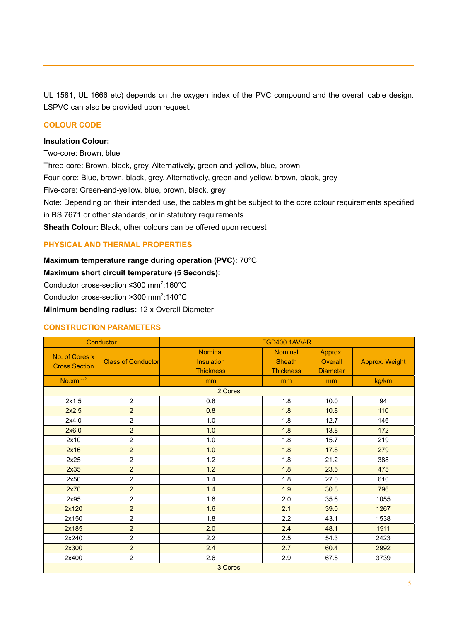UL 1581, UL 1666 etc) depends on the oxygen index of the PVC compound and the overall cable design. LSPVC can also be provided upon request.

### **COLOUR CODE**

#### **Insulation Colour:**

Two-core: Brown, blue

Three-core: Brown, black, grey. Alternatively, green-and-yellow, blue, brown

Four-core: Blue, brown, black, grey. Alternatively, green-and-yellow, brown, black, grey

Five-core: Green-and-yellow, blue, brown, black, grey

Note: Depending on their intended use, the cables might be subject to the core colour requirements specified in BS 7671 or other standards, or in statutory requirements.

**Sheath Colour:** Black, other colours can be offered upon request

## **Physical AND THERMAL PROPERTIES**

# **Maximum temperature range during operation (PVC):** 70°C

**Maximum short circuit temperature (5 Seconds):** 

Conductor cross-section ≤300 mm<sup>2</sup>:160°C

Conductor cross-section >300 mm<sup>2</sup>:140°C

**Minimum bending radius:** 12 x Overall Diameter

#### **CONSTRUCTION PARAMETERS**

| Conductor                              |                           | <b>FGD400 1AVV-R</b>                                    |                                                     |                                       |                |
|----------------------------------------|---------------------------|---------------------------------------------------------|-----------------------------------------------------|---------------------------------------|----------------|
| No. of Cores x<br><b>Cross Section</b> | <b>Class of Conductor</b> | <b>Nominal</b><br><b>Insulation</b><br><b>Thickness</b> | <b>Nominal</b><br><b>Sheath</b><br><b>Thickness</b> | Approx.<br>Overall<br><b>Diameter</b> | Approx. Weight |
| No.xmm <sup>2</sup>                    |                           | mm                                                      | mm                                                  | mm                                    | kg/km          |
| 2 Cores                                |                           |                                                         |                                                     |                                       |                |
| 2x1.5                                  | 2                         | 0.8                                                     | 1.8                                                 | 10.0                                  | 94             |
| 2x2.5                                  | $\overline{a}$            | 0.8                                                     | 1.8                                                 | 10.8                                  | 110            |
| 2x4.0                                  | $\overline{c}$            | $1.0\,$                                                 | 1.8                                                 | 12.7                                  | 146            |
| 2x6.0                                  | $\overline{c}$            | 1.0                                                     | 1.8                                                 | 13.8                                  | 172            |
| 2x10                                   | $\overline{2}$            | 1.0                                                     | 1.8                                                 | 15.7                                  | 219            |
| 2x16                                   | $\overline{2}$            | 1.0                                                     | 1.8                                                 | 17.8                                  | 279            |
| 2x25                                   | $\overline{2}$            | 1.2                                                     | 1.8                                                 | 21.2                                  | 388            |
| 2x35                                   | $\overline{2}$            | 1.2                                                     | 1.8                                                 | 23.5                                  | 475            |
| 2x50                                   | $\sqrt{2}$                | 1.4                                                     | 1.8                                                 | 27.0                                  | 610            |
| 2x70                                   | $\overline{2}$            | 1.4                                                     | 1.9                                                 | 30.8                                  | 796            |
| 2x95                                   | $\sqrt{2}$                | 1.6                                                     | 2.0                                                 | 35.6                                  | 1055           |
| 2x120                                  | $\overline{2}$            | 1.6                                                     | 2.1                                                 | 39.0                                  | 1267           |
| 2x150                                  | $\overline{2}$            | 1.8                                                     | 2.2                                                 | 43.1                                  | 1538           |
| 2x185                                  | 2                         | 2.0                                                     | 2.4                                                 | 48.1                                  | 1911           |
| 2x240                                  | $\overline{2}$            | 2.2                                                     | 2.5                                                 | 54.3                                  | 2423           |
| 2x300                                  | $\overline{2}$            | 2.4                                                     | 2.7                                                 | 60.4                                  | 2992           |
| 2x400                                  | $\overline{2}$            | 2.6                                                     | 2.9                                                 | 67.5                                  | 3739           |
| 3 Cores                                |                           |                                                         |                                                     |                                       |                |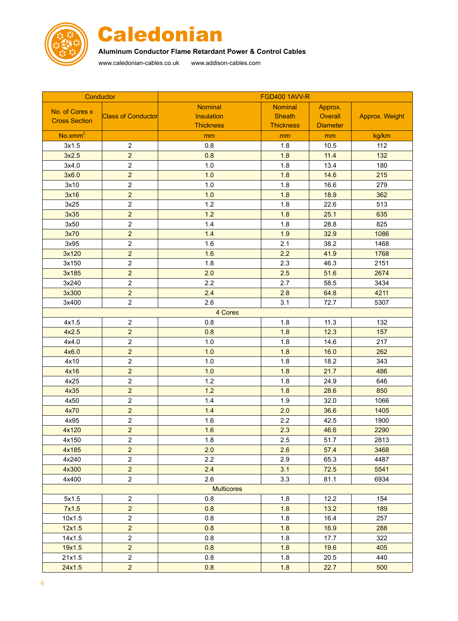



# **Aluminum Conductor Flame Retardant Power & Control Cables**

www.caledonian-cables.co.uk www.addison-cables.com

| Conductor            |                           | <b>FGD400 1AVV-R</b> |                  |                 |                       |
|----------------------|---------------------------|----------------------|------------------|-----------------|-----------------------|
| No. of Cores x       |                           | <b>Nominal</b>       | <b>Nominal</b>   | Approx.         |                       |
| <b>Cross Section</b> | <b>Class of Conductor</b> | Insulation           | <b>Sheath</b>    | Overall         | <b>Approx. Weight</b> |
|                      |                           | <b>Thickness</b>     | <b>Thickness</b> | <b>Diameter</b> |                       |
| No.xmm <sup>2</sup>  |                           | mm                   | mm               | mm              | kg/km                 |
| 3x1.5                | $\sqrt{2}$                | 0.8                  | 1.8              | 10.5            | 112                   |
| 3x2.5                | $\overline{2}$            | 0.8                  | 1.8              | 11.4            | 132                   |
| 3x4.0                | $\overline{c}$            | $1.0$                | 1.8              | 13.4            | 180                   |
| 3x6.0                | $\overline{2}$            | 1.0                  | 1.8              | 14.6            | 215                   |
| 3x10                 | $\overline{c}$            | $1.0$                | 1.8              | 16.6            | 279                   |
| 3x16                 | $\overline{2}$            | 1.0                  | 1.8              | 18.9            | 362                   |
| 3x25                 | $\overline{c}$            | 1.2                  | 1.8              | 22.6            | 513                   |
| 3x35                 | $\overline{2}$            | 1.2                  | 1.8              | 25.1            | 635                   |
| 3x50                 | $\overline{c}$            | $1.4$                | 1.8              | 28.8            | 825                   |
| 3x70                 | $\overline{a}$            | 1.4                  | 1.9              | 32.9            | 1086                  |
| 3x95                 | $\overline{c}$            | 1.6                  | 2.1              | 38.2            | 1468                  |
| 3x120                | $\overline{2}$            | 1.6                  | 2.2              | 41.9            | 1768                  |
| 3x150                | $\overline{2}$            | 1.8                  | 2.3              | 46.3            | 2151                  |
| 3x185                | $\overline{2}$            | 2.0                  | 2.5              | 51.6            | 2674                  |
| 3x240                | $\overline{c}$            | 2.2                  | 2.7              | 58.5            | 3434                  |
| 3x300                | $\overline{2}$            | 2.4                  | 2.8              | 64.8            | 4211                  |
| 3x400                | $\overline{c}$            | 2.6                  | 3.1              | 72.7            | 5307                  |
|                      |                           | 4 Cores              |                  |                 |                       |
| 4x1.5                | $\overline{c}$            | 0.8                  | 1.8              | 11.3            | 132                   |
| 4x2.5                | $\overline{2}$            | 0.8                  | 1.8              | 12.3            | 157                   |
| 4x4.0                | $\overline{c}$            | 1.0                  | 1.8              | 14.6            | 217                   |
| 4x6.0                | $\overline{2}$            | 1.0                  | 1.8              | 16.0            | 262                   |
| 4x10                 | $\overline{c}$            | 1.0                  | 1.8              | 18.2            | 343                   |
| 4x16                 | $\overline{2}$            | 1.0                  | 1.8              | 21.7            | 486                   |
| 4x25                 | $\overline{c}$            | $1.2$                | 1.8              | 24.9            | 646                   |
| 4x35                 | $\overline{2}$            | 1.2                  | 1.8              | 28.6            | 850                   |
| 4x50                 | $\overline{2}$            | 1.4                  | 1.9              | 32.0            | 1066                  |
| 4x70                 | $\overline{2}$            | $1.4$                | 2.0              | 36.6            | 1405                  |
| 4x95                 | $\overline{c}$            | 1.6                  | 2.2              | 42.5            | 1900                  |
| 4x120                | $\overline{2}$            | 1.6                  | 2.3              | 46.6            | 2290                  |
| 4x150                | $\overline{c}$            | 1.8                  | 2.5              | 51.7            | 2813                  |
| 4x185                | $\overline{2}$            | 2.0                  | 2.6              | 57.4            | 3468                  |
| 4x240                | $\overline{2}$            | 2.2                  | 2.9              | 65.3            | 4487                  |
| 4x300                | $\overline{2}$            | 2.4                  | 3.1              | 72.5            | 5541                  |
| 4x400                | $\overline{2}$            | 2.6                  | 3.3              | 81.1            | 6934                  |
| <b>Multicores</b>    |                           |                      |                  |                 |                       |
| 5x1.5                | $\overline{2}$            | 0.8                  | 1.8              | 12.2            | 154                   |
| 7x1.5                | $\overline{2}$            | 0.8                  | 1.8              | 13.2            | 189                   |
| 10x1.5               | $\overline{2}$            | 0.8                  | 1.8              | 16.4            | 257                   |
| 12x1.5               | $\overline{2}$            | 0.8                  | 1.8              | 16.9            | 288                   |
| 14x1.5               | $\overline{2}$            | 0.8                  | 1.8              | 17.7            | 322                   |
| 19x1.5               | $\overline{2}$            | 0.8                  | 1.8              | 19.6            | 405                   |
| 21x1.5               | $\overline{2}$            | 0.8                  | 1.8              | 20.5            | 440                   |
| 24x1.5               | $\overline{2}$            | 0.8                  | 1.8              | 22.7            | 500                   |